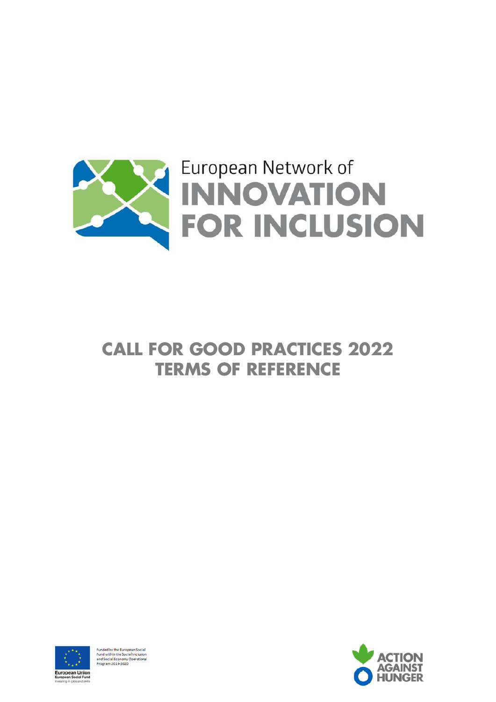

# **CALL FOR GOOD PRACTICES 2022 TERMS OF REFERENCE**



Funded by the European Social<br>Fund within the Social Inclusion<br>and Social Economy Operational<br>Program 2014-2020

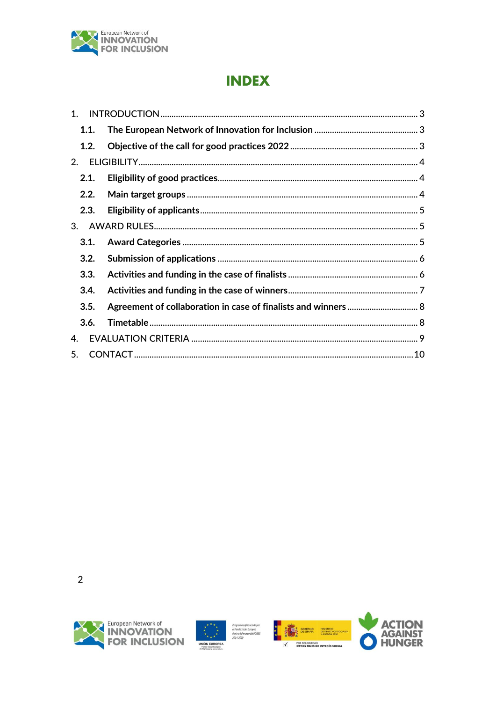

# **INDEX**

| 1.1.           |                                                                |  |  |
|----------------|----------------------------------------------------------------|--|--|
| 1.2.           |                                                                |  |  |
| 2 <sub>1</sub> |                                                                |  |  |
| 2.1.           |                                                                |  |  |
| 2.2.           |                                                                |  |  |
| 2.3.           |                                                                |  |  |
| 3.             |                                                                |  |  |
| 3.1.           |                                                                |  |  |
| 3.2.           |                                                                |  |  |
| 3.3.           |                                                                |  |  |
| 3.4.           |                                                                |  |  |
| 3.5.           | Agreement of collaboration in case of finalists and winners  8 |  |  |
| 3.6.           |                                                                |  |  |
| 4.             |                                                                |  |  |
| 5.             |                                                                |  |  |





Programa cofinanciado por<br>el Fondo Social Europeo<br>dentro del marco del POISES<br>2014-2020



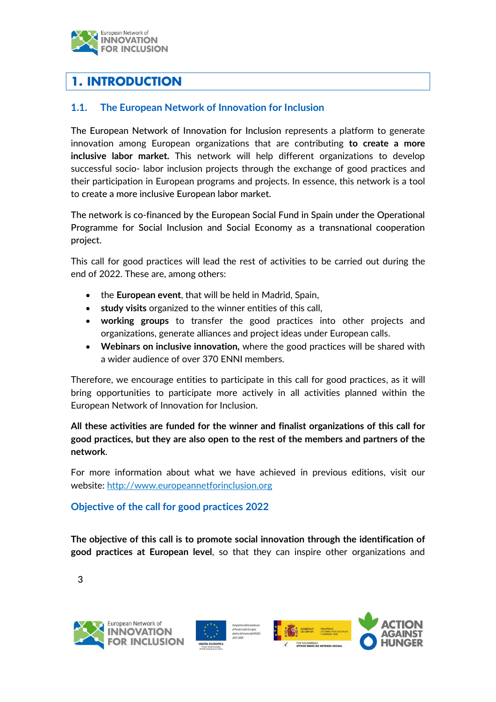

## <span id="page-2-0"></span>**1. INTRODUCTION**

#### <span id="page-2-1"></span>**1.1. The European Network of Innovation for Inclusion**

The European Network of Innovation for Inclusion represents a platform to generate innovation among European organizations that are contributing **to create a more inclusive labor market.** This network will help different organizations to develop successful socio- labor inclusion projects through the exchange of good practices and their participation in European programs and projects. In essence, this network is a tool to create a more inclusive European labor market.

The network is co-financed by the European Social Fund in Spain under the Operational Programme for Social Inclusion and Social Economy as a transnational cooperation project.

This call for good practices will lead the rest of activities to be carried out during the end of 2022. These are, among others:

- the **European event**, that will be held in Madrid, Spain,
- **study visits** organized to the winner entities of this call,
- **working groups** to transfer the good practices into other projects and organizations, generate alliances and project ideas under European calls.
- **Webinars on inclusive innovation,** where the good practices will be shared with a wider audience of over 370 ENNI members.

Therefore, we encourage entities to participate in this call for good practices, as it will bring opportunities to participate more actively in all activities planned within the European Network of Innovation for Inclusion.

#### **All these activities are funded for the winner and finalist organizations of this call for good practices, but they are also open to the rest of the members and partners of the network**.

For more information about what we have achieved in previous editions, visit our website: [http://www.europeannetforinclusion.org](http://www.europeannetforinclusion.org/)

#### **Objective of the call for good practices 2022**

**The objective of this call is to promote social innovation through the identification of good practices at European level**, so that they can inspire other organizations and







<span id="page-2-2"></span>

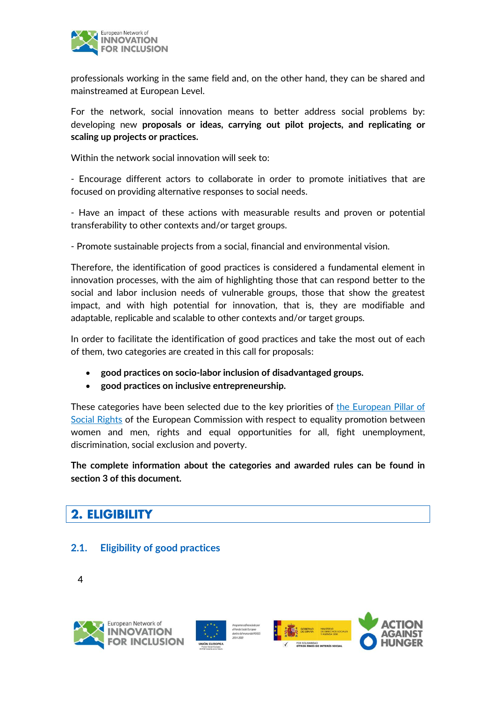

professionals working in the same field and, on the other hand, they can be shared and mainstreamed at European Level.

For the network, social innovation means to better address social problems by: developing new **proposals or ideas, carrying out pilot projects, and replicating or scaling up projects or practices.**

Within the network social innovation will seek to:

- Encourage different actors to collaborate in order to promote initiatives that are focused on providing alternative responses to social needs.

- Have an impact of these actions with measurable results and proven or potential transferability to other contexts and/or target groups.

- Promote sustainable projects from a social, financial and environmental vision.

Therefore, the identification of good practices is considered a fundamental element in innovation processes, with the aim of highlighting those that can respond better to the social and labor inclusion needs of vulnerable groups, those that show the greatest impact, and with high potential for innovation, that is, they are modifiable and adaptable, replicable and scalable to other contexts and/or target groups.

In order to facilitate the identification of good practices and take the most out of each of them, two categories are created in this call for proposals:

- **good practices on socio-labor inclusion of disadvantaged groups.**
- **good practices on inclusive entrepreneurship.**

These categories have been selected due to the key priorities of [the European Pillar of](https://ec.europa.eu/commission/priorities/deeper-and-fairer-economic-and-monetary-union/european-pillar-social-rights/european-pillar-social-rights-20-principles_en)  [Social Rights](https://ec.europa.eu/commission/priorities/deeper-and-fairer-economic-and-monetary-union/european-pillar-social-rights/european-pillar-social-rights-20-principles_en) of the European Commission with respect to equality promotion between women and men, rights and equal opportunities for all, fight unemployment, discrimination, social exclusion and poverty.

**The complete information about the categories and awarded rules can be found in section 3 of this document.**

### <span id="page-3-0"></span>**2. ELIGIBILITY**

<span id="page-3-1"></span>**2.1. Eligibility of good practices**











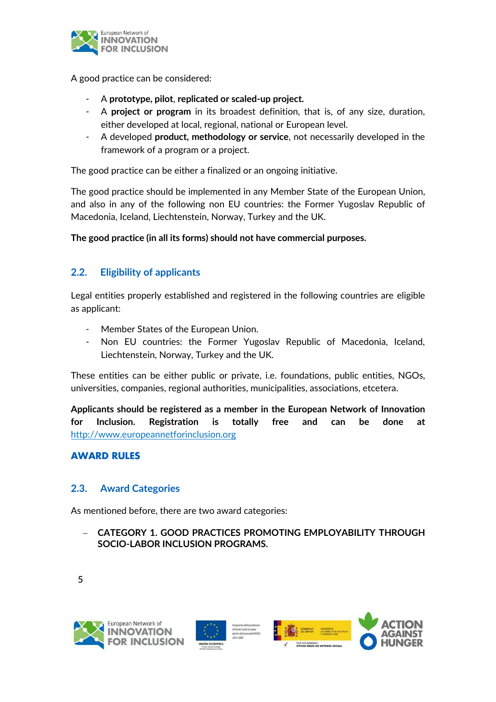

A good practice can be considered:

- A **prototype, pilot**, **replicated or scaled-up project.**
- A **project or program** in its broadest definition, that is, of any size, duration, either developed at local, regional, national or European level.
- A developed **product, methodology or service**, not necessarily developed in the framework of a program or a project.

The good practice can be either a finalized or an ongoing initiative.

The good practice should be implemented in any Member State of the European Union, and also in any of the following non EU countries: the Former Yugoslav Republic of Macedonia, Iceland, Liechtenstein, Norway, Turkey and the UK.

**The good practice (in all its forms) should not have commercial purposes.**

#### <span id="page-4-0"></span>**2.2. Eligibility of applicants**

Legal entities properly established and registered in the following countries are eligible as applicant:

- Member States of the European Union.
- Non EU countries: the Former Yugoslav Republic of Macedonia, Iceland, Liechtenstein, Norway, Turkey and the UK.

These entities can be either public or private, i.e. foundations, public entities, NGOs, universities, companies, regional authorities, municipalities, associations, etcetera.

**Applicants should be registered as a member in the European Network of Innovation for Inclusion. Registration is totally free and can be done at**  [http://www.europeannetforinclusion.org](http://www.europeannetforinclusion.org/)

#### <span id="page-4-1"></span>**AWARD RULES**

#### <span id="page-4-2"></span>**2.3. Award Categories**

As mentioned before, there are two award categories:

− **CATEGORY 1. GOOD PRACTICES PROMOTING EMPLOYABILITY THROUGH SOCIO-LABOR INCLUSION PROGRAMS.**









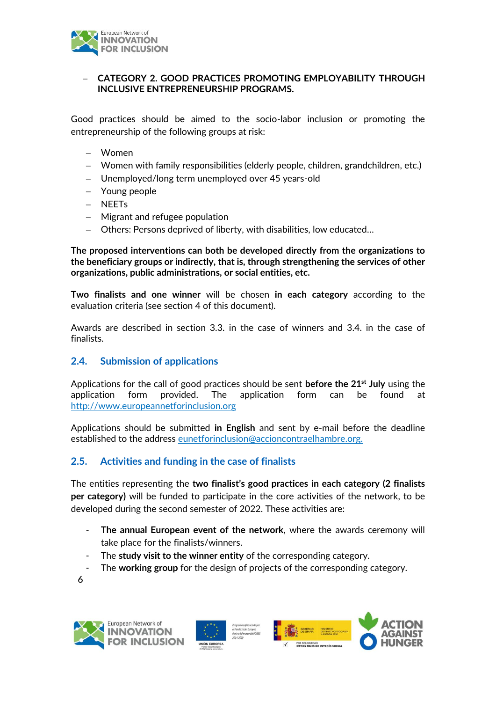

#### − **CATEGORY 2. GOOD PRACTICES PROMOTING EMPLOYABILITY THROUGH INCLUSIVE ENTREPRENEURSHIP PROGRAMS.**

Good practices should be aimed to the socio-labor inclusion or promoting the entrepreneurship of the following groups at risk:

- − Women
- − Women with family responsibilities (elderly people, children, grandchildren, etc.)
- − Unemployed/long term unemployed over 45 years-old
- − Young people
- − NEETs
- − Migrant and refugee population
- − Others: Persons deprived of liberty, with disabilities, low educated…

**The proposed interventions can both be developed directly from the organizations to the beneficiary groups or indirectly, that is, through strengthening the services of other organizations, public administrations, or social entities, etc.**

**Two finalists and one winner** will be chosen **in each category** according to the evaluation criteria (see section 4 of this document).

Awards are described in section 3.3. in the case of winners and 3.4. in the case of finalists.

#### <span id="page-5-0"></span>**2.4. Submission of applications**

Applications for the call of good practices should be sent **before the 21 st July** using the application form provided. The application form can be found at http://www.europeannetforinclusion.org

Applications should be submitted **in English** and sent by e-mail before the deadline established to the address [eunetforinclusion@accioncontraelhambre.org.](mailto:eunetforinclusion@accioncontraelhambre.org)

#### <span id="page-5-1"></span>**2.5. Activities and funding in the case of finalists**

The entities representing the **two finalist's good practices in each category (2 finalists per category)** will be funded to participate in the core activities of the network, to be developed during the second semester of 2022. These activities are:

- **The annual European event of the network**, where the awards ceremony will take place for the finalists/winners.
- The **study visit to the winner entity** of the corresponding category.
- The **working group** for the design of projects of the corresponding category.

6







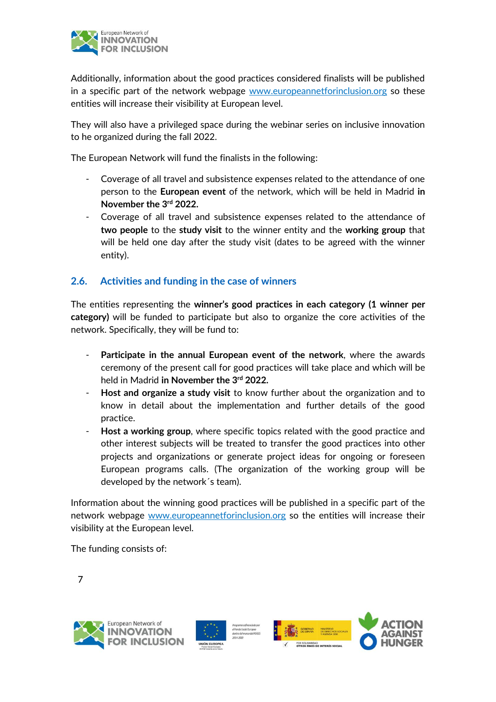

Additionally, information about the good practices considered finalists will be published in a specific part of the network webpage [www.europeannetforinclusion.org](http://www.europeannetforinclusion.org/) so these entities will increase their visibility at European level.

They will also have a privileged space during the webinar series on inclusive innovation to he organized during the fall 2022.

The European Network will fund the finalists in the following:

- Coverage of all travel and subsistence expenses related to the attendance of one person to the **European event** of the network, which will be held in Madrid **in November the 3rd 2022.**
- Coverage of all travel and subsistence expenses related to the attendance of **two people** to the **study visit** to the winner entity and the **working group** that will be held one day after the study visit (dates to be agreed with the winner entity).

#### <span id="page-6-0"></span>**2.6. Activities and funding in the case of winners**

The entities representing the **winner's good practices in each category (1 winner per category)** will be funded to participate but also to organize the core activities of the network. Specifically, they will be fund to:

- **Participate in the annual European event of the network**, where the awards ceremony of the present call for good practices will take place and which will be held in Madrid **in November the 3rd 2022.**
- Host and organize a study visit to know further about the organization and to know in detail about the implementation and further details of the good practice.
- Host a working group, where specific topics related with the good practice and other interest subjects will be treated to transfer the good practices into other projects and organizations or generate project ideas for ongoing or foreseen European programs calls. (The organization of the working group will be developed by the network´s team).

Information about the winning good practices will be published in a specific part of the network webpage [www.europeannetforinclusion.org](http://www.europeannetforinclusion.org/) so the entities will increase their visibility at the European level.

The funding consists of:









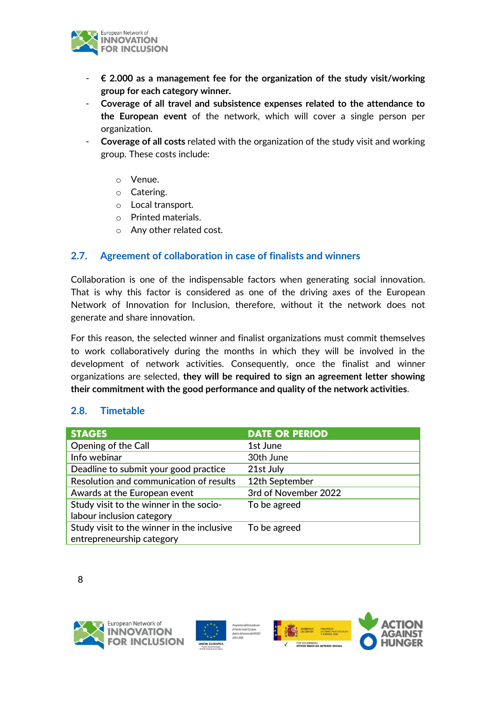

- **€ 2.000 as a management fee for the organization of the study visit/working group for each category winner.**
- **Coverage of all travel and subsistence expenses related to the attendance to the European event** of the network, which will cover a single person per organization.
- **Coverage of all costs** related with the organization of the study visit and working group. These costs include:
	- o Venue.
	- o Catering.
	- o Local transport.
	- o Printed materials.
	- o Any other related cost.

#### <span id="page-7-0"></span>**2.7. Agreement of collaboration in case of finalists and winners**

Collaboration is one of the indispensable factors when generating social innovation. That is why this factor is considered as one of the driving axes of the European Network of Innovation for Inclusion, therefore, without it the network does not generate and share innovation.

For this reason, the selected winner and finalist organizations must commit themselves to work collaboratively during the months in which they will be involved in the development of network activities. Consequently, once the finalist and winner organizations are selected, **they will be required to sign an agreement letter showing their commitment with the good performance and quality of the network activities**.

#### <span id="page-7-1"></span>**2.8. Timetable**

| <b>STAGES</b>                                                           | <b>DATE OR PERIOD</b> |
|-------------------------------------------------------------------------|-----------------------|
| Opening of the Call                                                     | 1st June              |
| Info webinar                                                            | 30th June             |
| Deadline to submit your good practice                                   | 21st July             |
| Resolution and communication of results                                 | 12th September        |
| Awards at the European event                                            | 3rd of November 2022  |
| Study visit to the winner in the socio-<br>labour inclusion category    | To be agreed          |
| Study visit to the winner in the inclusive<br>entrepreneurship category | To be agreed          |







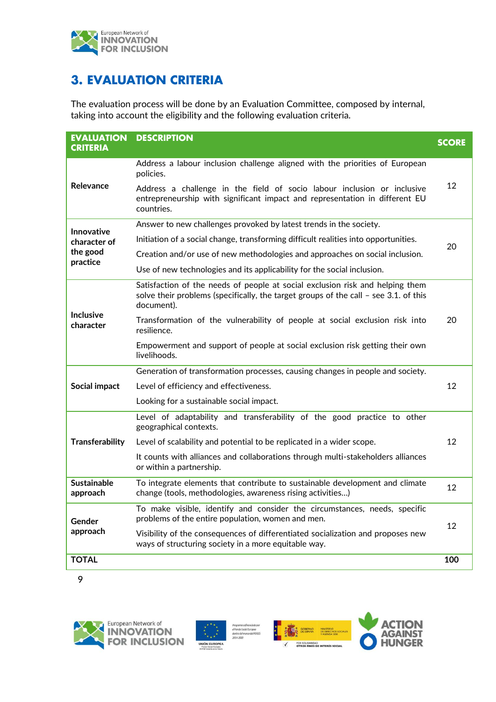

# <span id="page-8-0"></span>**3. EVALUATION CRITERIA**

The evaluation process will be done by an Evaluation Committee, composed by internal, taking into account the eligibility and the following evaluation criteria.

| <b>EVALUATION</b><br><b>CRITERIA</b> | <b>DESCRIPTION</b>                                                                                                                                                                  | <b>SCORE</b> |
|--------------------------------------|-------------------------------------------------------------------------------------------------------------------------------------------------------------------------------------|--------------|
|                                      | Address a labour inclusion challenge aligned with the priorities of European<br>policies.                                                                                           |              |
| Relevance                            | Address a challenge in the field of socio labour inclusion or inclusive<br>entrepreneurship with significant impact and representation in different EU<br>countries.                | 12           |
| <b>Innovative</b>                    | Answer to new challenges provoked by latest trends in the society.                                                                                                                  | 20           |
| character of                         | Initiation of a social change, transforming difficult realities into opportunities.                                                                                                 |              |
| the good<br>practice                 | Creation and/or use of new methodologies and approaches on social inclusion.                                                                                                        |              |
|                                      | Use of new technologies and its applicability for the social inclusion.                                                                                                             |              |
|                                      | Satisfaction of the needs of people at social exclusion risk and helping them<br>solve their problems (specifically, the target groups of the call - see 3.1. of this<br>document). |              |
| <b>Inclusive</b><br>character        | Transformation of the vulnerability of people at social exclusion risk into<br>resilience.                                                                                          | 20           |
|                                      | Empowerment and support of people at social exclusion risk getting their own<br>livelihoods.                                                                                        |              |
|                                      | Generation of transformation processes, causing changes in people and society.                                                                                                      |              |
| Social impact                        | Level of efficiency and effectiveness.                                                                                                                                              | 12           |
|                                      | Looking for a sustainable social impact.                                                                                                                                            |              |
|                                      | Level of adaptability and transferability of the good practice to other<br>geographical contexts.                                                                                   |              |
| <b>Transferability</b>               | Level of scalability and potential to be replicated in a wider scope.                                                                                                               | 12           |
|                                      | It counts with alliances and collaborations through multi-stakeholders alliances<br>or within a partnership.                                                                        |              |
| <b>Sustainable</b><br>approach       | To integrate elements that contribute to sustainable development and climate<br>change (tools, methodologies, awareness rising activities)                                          | 12           |
| Gender                               | To make visible, identify and consider the circumstances, needs, specific<br>problems of the entire population, women and men.                                                      |              |
| approach                             | Visibility of the consequences of differentiated socialization and proposes new<br>ways of structuring society in a more equitable way.                                             | 12           |
| <b>TOTAL</b>                         |                                                                                                                                                                                     | 100          |

9